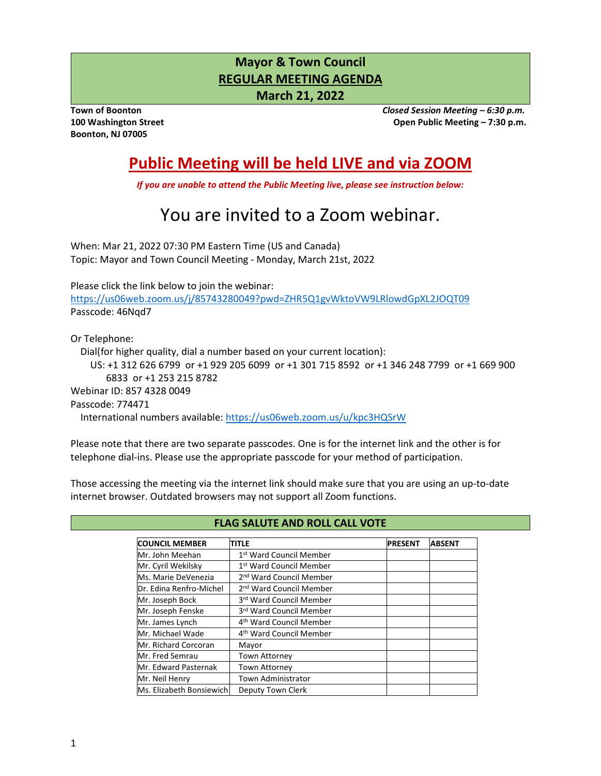# **Mayor & Town Council REGULAR MEETING AGENDA**

**March 21, 2022**

**Boonton, NJ 07005** 

**Town of Boonton** *Closed Session Meeting – 6:30 p.m.* **100 Washington Street Open Public Meeting – 7:30 p.m.** 

# **Public Meeting will be held LIVE and via ZOOM**

*If you are unable to attend the Public Meeting live, please see instruction below:* 

# You are invited to a Zoom webinar.

When: Mar 21, 2022 07:30 PM Eastern Time (US and Canada) Topic: Mayor and Town Council Meeting - Monday, March 21st, 2022

Please click the link below to join the webinar: <https://us06web.zoom.us/j/85743280049?pwd=ZHR5Q1gvWktoVW9LRlowdGpXL2JOQT09> Passcode: 46Nqd7

Or Telephone:

Dial(for higher quality, dial a number based on your current location):

 US: +1 312 626 6799 or +1 929 205 6099 or +1 301 715 8592 or +1 346 248 7799 or +1 669 900 6833 or +1 253 215 8782

Webinar ID: 857 4328 0049

Passcode: 774471

International numbers available:<https://us06web.zoom.us/u/kpc3HQSrW>

Please note that there are two separate passcodes. One is for the internet link and the other is for telephone dial-ins. Please use the appropriate passcode for your method of participation.

Those accessing the meeting via the internet link should make sure that you are using an up-to-date internet browser. Outdated browsers may not support all Zoom functions.

| <b>COUNCIL MEMBER</b>    | <b>TITLE</b>                        | <b>PRESENT</b> | <b>ABSENT</b> |
|--------------------------|-------------------------------------|----------------|---------------|
| Mr. John Meehan          | 1st Ward Council Member             |                |               |
| Mr. Cyril Wekilsky       | 1 <sup>st</sup> Ward Council Member |                |               |
| Ms. Marie DeVenezia      | 2 <sup>nd</sup> Ward Council Member |                |               |
| Dr. Edina Renfro-Michel  | 2 <sup>nd</sup> Ward Council Member |                |               |
| Mr. Joseph Bock          | 3rd Ward Council Member             |                |               |
| Mr. Joseph Fenske        | 3rd Ward Council Member             |                |               |
| Mr. James Lynch          | 4 <sup>th</sup> Ward Council Member |                |               |
| Mr. Michael Wade         | 4 <sup>th</sup> Ward Council Member |                |               |
| Mr. Richard Corcoran     | Mayor                               |                |               |
| Mr. Fred Semrau          | <b>Town Attorney</b>                |                |               |
| Mr. Edward Pasternak     | <b>Town Attorney</b>                |                |               |
| Mr. Neil Henry           | <b>Town Administrator</b>           |                |               |
| Ms. Elizabeth Bonsiewich | Deputy Town Clerk                   |                |               |

# **FLAG SALUTE AND ROLL CALL VOTE**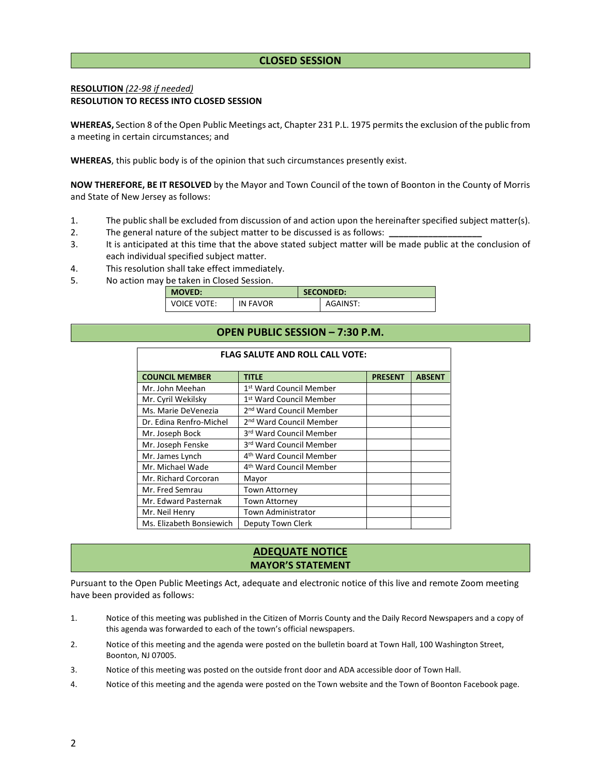# **CLOSED SESSION**

# **RESOLUTION** *(22-98 if needed)*  **RESOLUTION TO RECESS INTO CLOSED SESSION**

**WHEREAS,** Section 8 of the Open Public Meetings act, Chapter 231 P.L. 1975 permits the exclusion of the public from a meeting in certain circumstances; and

**WHEREAS**, this public body is of the opinion that such circumstances presently exist.

**NOW THEREFORE, BE IT RESOLVED** by the Mayor and Town Council of the town of Boonton in the County of Morris and State of New Jersey as follows:

- 1. The public shall be excluded from discussion of and action upon the hereinafter specified subject matter(s).
- 2. The general nature of the subject matter to be discussed is as follows:
- 3. It is anticipated at this time that the above stated subject matter will be made public at the conclusion of each individual specified subject matter.
- 4. This resolution shall take effect immediately.
- 5. No action may be taken in Closed Session.

 $\blacksquare$ 

| <b>MOVED:</b> |          | <b>SECONDED:</b> |          |
|---------------|----------|------------------|----------|
| VOICE VOTE:   | IN FAVOR |                  | AGAINST: |

# **OPEN PUBLIC SESSION – 7:30 P.M.**

**FLAG SALUTE AND ROLL CALL VOTE:** 

| FLAG SALUTE AND ROLL CALL VOTE: |                                     |                |               |  |  |  |
|---------------------------------|-------------------------------------|----------------|---------------|--|--|--|
| <b>COUNCIL MEMBER</b>           | <b>TITLE</b>                        | <b>PRESENT</b> | <b>ABSENT</b> |  |  |  |
| Mr. John Meehan                 | 1st Ward Council Member             |                |               |  |  |  |
| Mr. Cyril Wekilsky              | 1st Ward Council Member             |                |               |  |  |  |
| Ms. Marie DeVenezia             | 2 <sup>nd</sup> Ward Council Member |                |               |  |  |  |
| Dr. Edina Renfro-Michel         | 2 <sup>nd</sup> Ward Council Member |                |               |  |  |  |
| Mr. Joseph Bock                 | 3rd Ward Council Member             |                |               |  |  |  |
| Mr. Joseph Fenske               | 3rd Ward Council Member             |                |               |  |  |  |
| Mr. James Lynch                 | 4 <sup>th</sup> Ward Council Member |                |               |  |  |  |
| Mr. Michael Wade                | 4 <sup>th</sup> Ward Council Member |                |               |  |  |  |
| Mr. Richard Corcoran            | Mayor                               |                |               |  |  |  |
| Mr. Fred Semrau                 | <b>Town Attorney</b>                |                |               |  |  |  |
| Mr. Edward Pasternak            | Town Attorney                       |                |               |  |  |  |
| Mr. Neil Henry                  | <b>Town Administrator</b>           |                |               |  |  |  |
| Ms. Elizabeth Bonsiewich        | Deputy Town Clerk                   |                |               |  |  |  |

# **ADEQUATE NOTICE MAYOR'S STATEMENT**

Pursuant to the Open Public Meetings Act, adequate and electronic notice of this live and remote Zoom meeting have been provided as follows:

- 1. Notice of this meeting was published in the Citizen of Morris County and the Daily Record Newspapers and a copy of this agenda was forwarded to each of the town's official newspapers.
- 2. Notice of this meeting and the agenda were posted on the bulletin board at Town Hall, 100 Washington Street, Boonton, NJ 07005.
- 3. Notice of this meeting was posted on the outside front door and ADA accessible door of Town Hall.
- 4. Notice of this meeting and the agenda were posted on the Town website and the Town of Boonton Facebook page.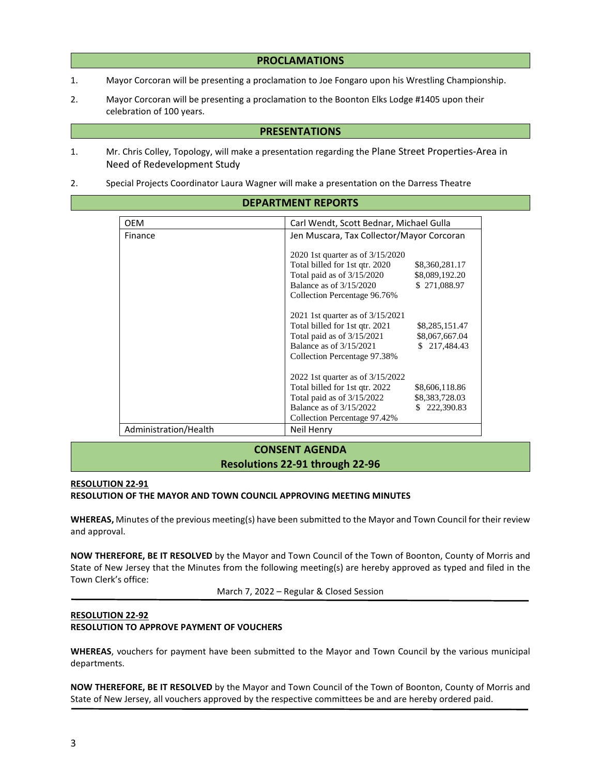### **PROCLAMATIONS**

- 1. Mayor Corcoran will be presenting a proclamation to Joe Fongaro upon his Wrestling Championship.
- 2. Mayor Corcoran will be presenting a proclamation to the Boonton Elks Lodge #1405 upon their celebration of 100 years.

# **PRESENTATIONS**

- 1. Mr. Chris Colley, Topology, will make a presentation regarding the Plane Street Properties-Area in Need of Redevelopment Study
- 2. Special Projects Coordinator Laura Wagner will make a presentation on the Darress Theatre

# **DEPARTMENT REPORTS**

| <b>OEM</b>            | Carl Wendt, Scott Bednar, Michael Gulla          |                  |  |
|-----------------------|--------------------------------------------------|------------------|--|
| Finance               | Jen Muscara, Tax Collector/Mayor Corcoran        |                  |  |
|                       |                                                  |                  |  |
|                       | 2020 1st quarter as of 3/15/2020                 |                  |  |
|                       | Total billed for 1st qtr. 2020                   | \$8,360,281.17   |  |
|                       | Total paid as of $3/15/2020$                     | \$8,089,192.20   |  |
|                       | Balance as of 3/15/2020                          | \$271,088.97     |  |
|                       | Collection Percentage 96.76%                     |                  |  |
|                       | 2021 1st quarter as of 3/15/2021                 |                  |  |
|                       | Total billed for 1st qtr. 2021<br>\$8,285,151.47 |                  |  |
|                       | Total paid as of 3/15/2021                       | \$8,067,667.04   |  |
|                       | Balance as of 3/15/2021                          | \$217,484.43     |  |
|                       | Collection Percentage 97.38%                     |                  |  |
|                       |                                                  |                  |  |
|                       | 2022 1st quarter as of 3/15/2022                 |                  |  |
|                       | Total billed for 1st gtr. 2022                   | \$8,606,118.86   |  |
|                       | Total paid as of $3/15/2022$<br>\$8,383,728.03   |                  |  |
|                       | Balance as of $3/15/2022$                        | 222,390.83<br>S. |  |
|                       | Collection Percentage 97.42%                     |                  |  |
| Administration/Health | Neil Henry                                       |                  |  |

# **CONSENT AGENDA**

# **Resolutions 22-91 through 22-96**

# **RESOLUTION 22-91**

#### **RESOLUTION OF THE MAYOR AND TOWN COUNCIL APPROVING MEETING MINUTES**

**WHEREAS,** Minutes of the previous meeting(s) have been submitted to the Mayor and Town Council for their review and approval.

**NOW THEREFORE, BE IT RESOLVED** by the Mayor and Town Council of the Town of Boonton, County of Morris and State of New Jersey that the Minutes from the following meeting(s) are hereby approved as typed and filed in the Town Clerk's office:

March 7, 2022 – Regular & Closed Session

# **RESOLUTION 22-92 RESOLUTION TO APPROVE PAYMENT OF VOUCHERS**

**WHEREAS**, vouchers for payment have been submitted to the Mayor and Town Council by the various municipal departments.

**NOW THEREFORE, BE IT RESOLVED** by the Mayor and Town Council of the Town of Boonton, County of Morris and State of New Jersey, all vouchers approved by the respective committees be and are hereby ordered paid.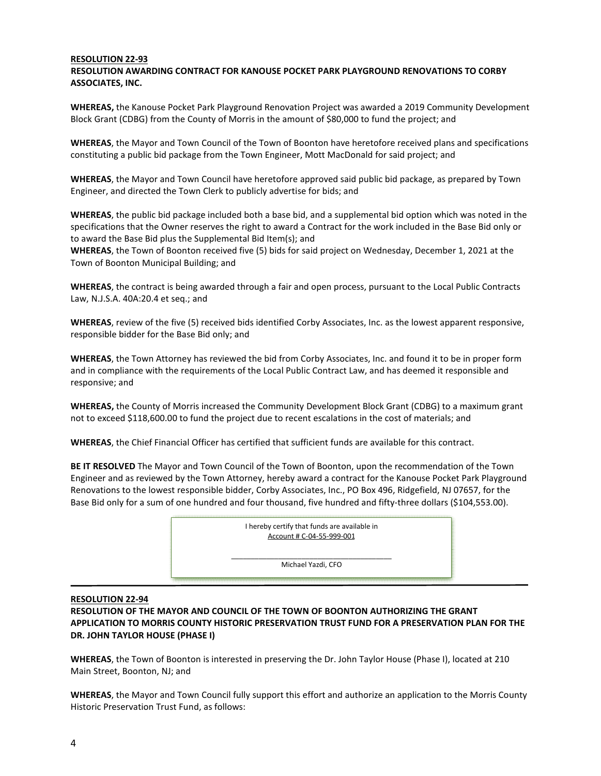#### **RESOLUTION 22-93 RESOLUTION AWARDING CONTRACT FOR KANOUSE POCKET PARK PLAYGROUND RENOVATIONS TO CORBY ASSOCIATES, INC.**

**WHEREAS,** the Kanouse Pocket Park Playground Renovation Project was awarded a 2019 Community Development Block Grant (CDBG) from the County of Morris in the amount of \$80,000 to fund the project; and

**WHEREAS**, the Mayor and Town Council of the Town of Boonton have heretofore received plans and specifications constituting a public bid package from the Town Engineer, Mott MacDonald for said project; and

**WHEREAS**, the Mayor and Town Council have heretofore approved said public bid package, as prepared by Town Engineer, and directed the Town Clerk to publicly advertise for bids; and

**WHEREAS**, the public bid package included both a base bid, and a supplemental bid option which was noted in the specifications that the Owner reserves the right to award a Contract for the work included in the Base Bid only or to award the Base Bid plus the Supplemental Bid Item(s); and

**WHEREAS**, the Town of Boonton received five (5) bids for said project on Wednesday, December 1, 2021 at the Town of Boonton Municipal Building; and

**WHEREAS**, the contract is being awarded through a fair and open process, pursuant to the Local Public Contracts Law, N.J.S.A. 40A:20.4 et seq.; and

**WHEREAS**, review of the five (5) received bids identified Corby Associates, Inc. as the lowest apparent responsive, responsible bidder for the Base Bid only; and

**WHEREAS**, the Town Attorney has reviewed the bid from Corby Associates, Inc. and found it to be in proper form and in compliance with the requirements of the Local Public Contract Law, and has deemed it responsible and responsive; and

**WHEREAS,** the County of Morris increased the Community Development Block Grant (CDBG) to a maximum grant not to exceed \$118,600.00 to fund the project due to recent escalations in the cost of materials; and

**WHEREAS**, the Chief Financial Officer has certified that sufficient funds are available for this contract.

**BE IT RESOLVED** The Mayor and Town Council of the Town of Boonton, upon the recommendation of the Town Engineer and as reviewed by the Town Attorney, hereby award a contract for the Kanouse Pocket Park Playground Renovations to the lowest responsible bidder, Corby Associates, Inc., PO Box 496, Ridgefield, NJ 07657, for the Base Bid only for a sum of one hundred and four thousand, five hundred and fifty-three dollars (\$104,553.00).



# **RESOLUTION 22-94**

**RESOLUTION OF THE MAYOR AND COUNCIL OF THE TOWN OF BOONTON AUTHORIZING THE GRANT APPLICATION TO MORRIS COUNTY HISTORIC PRESERVATION TRUST FUND FOR A PRESERVATION PLAN FOR THE DR. JOHN TAYLOR HOUSE (PHASE I)** 

**WHEREAS**, the Town of Boonton is interested in preserving the Dr. John Taylor House (Phase I), located at 210 Main Street, Boonton, NJ; and

**WHEREAS**, the Mayor and Town Council fully support this effort and authorize an application to the Morris County Historic Preservation Trust Fund, as follows: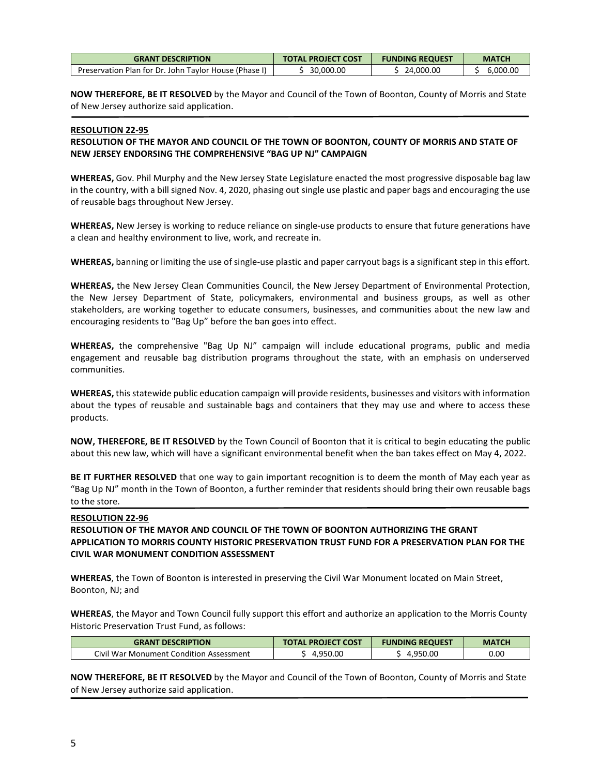| <b>GRANT DESCRIPTION</b>                              | <b>TOTAL PROJECT COST</b> | <b>FUNDING REQUEST</b> | <b>MATCH</b> |
|-------------------------------------------------------|---------------------------|------------------------|--------------|
| Preservation Plan for Dr. John Taylor House (Phase I) | 30,000.00                 | 24,000.00              | 6,000.00     |

**NOW THEREFORE, BE IT RESOLVED** by the Mayor and Council of the Town of Boonton, County of Morris and State of New Jersey authorize said application.

#### **RESOLUTION 22-95**

# **RESOLUTION OF THE MAYOR AND COUNCIL OF THE TOWN OF BOONTON, COUNTY OF MORRIS AND STATE OF NEW JERSEY ENDORSING THE COMPREHENSIVE "BAG UP NJ" CAMPAIGN**

**WHEREAS,** Gov. Phil Murphy and the New Jersey State Legislature enacted the most progressive disposable bag law in the country, with a bill signed Nov. 4, 2020, phasing out single use plastic and paper bags and encouraging the use of reusable bags throughout New Jersey.

**WHEREAS,** New Jersey is working to reduce reliance on single-use products to ensure that future generations have a clean and healthy environment to live, work, and recreate in.

**WHEREAS,** banning or limiting the use of single-use plastic and paper carryout bags is a significant step in this effort.

**WHEREAS,** the New Jersey Clean Communities Council, the New Jersey Department of Environmental Protection, the New Jersey Department of State, policymakers, environmental and business groups, as well as other stakeholders, are working together to educate consumers, businesses, and communities about the new law and encouraging residents to "Bag Up" before the ban goes into effect.

**WHEREAS,** the comprehensive "Bag Up NJ" campaign will include educational programs, public and media engagement and reusable bag distribution programs throughout the state, with an emphasis on underserved communities.

**WHEREAS,** this statewide public education campaign will provide residents, businesses and visitors with information about the types of reusable and sustainable bags and containers that they may use and where to access these products.

**NOW, THEREFORE, BE IT RESOLVED** by the Town Council of Boonton that it is critical to begin educating the public about this new law, which will have a significant environmental benefit when the ban takes effect on May 4, 2022.

**BE IT FURTHER RESOLVED** that one way to gain important recognition is to deem the month of May each year as "Bag Up NJ" month in the Town of Boonton, a further reminder that residents should bring their own reusable bags to the store.

### **RESOLUTION 22-96**

# **RESOLUTION OF THE MAYOR AND COUNCIL OF THE TOWN OF BOONTON AUTHORIZING THE GRANT APPLICATION TO MORRIS COUNTY HISTORIC PRESERVATION TRUST FUND FOR A PRESERVATION PLAN FOR THE CIVIL WAR MONUMENT CONDITION ASSESSMENT**

**WHEREAS**, the Town of Boonton is interested in preserving the Civil War Monument located on Main Street, Boonton, NJ; and

**WHEREAS**, the Mayor and Town Council fully support this effort and authorize an application to the Morris County Historic Preservation Trust Fund, as follows:

| <b>GRANT DESCRIPTION</b>                      | <b>L PROJECT COST</b> | <b>FUNDING REQUEST</b> | <b>MATCH</b> |
|-----------------------------------------------|-----------------------|------------------------|--------------|
| Civil War<br>r Monument Condition Assessment. | .00<br><b>OEO</b>     | 950.00                 | 0.00         |

**NOW THEREFORE, BE IT RESOLVED** by the Mayor and Council of the Town of Boonton, County of Morris and State of New Jersey authorize said application.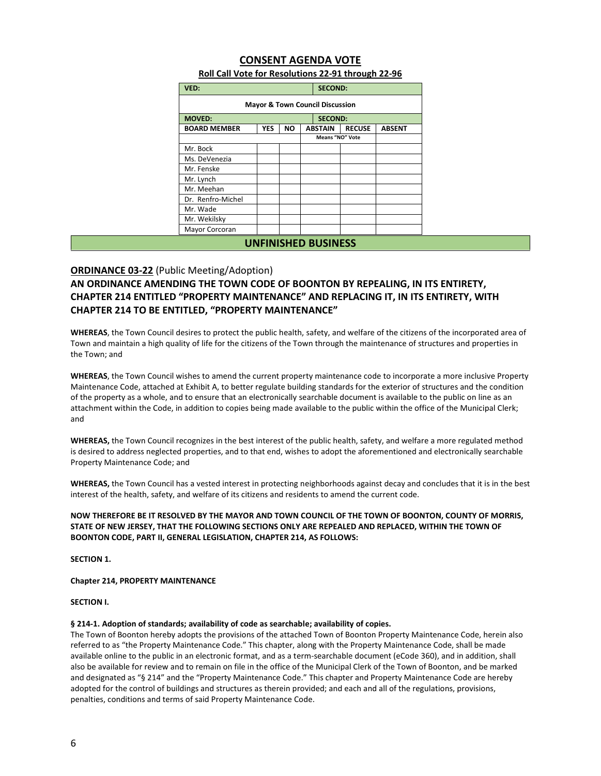# **CONSENT AGENDA VOTE**

| VED:                                       | <b>SECOND:</b> |           |                |                        |               |  |
|--------------------------------------------|----------------|-----------|----------------|------------------------|---------------|--|
| <b>Mayor &amp; Town Council Discussion</b> |                |           |                |                        |               |  |
| <b>MOVED:</b><br><b>SECOND:</b>            |                |           |                |                        |               |  |
| <b>BOARD MEMBER</b>                        | <b>YES</b>     | <b>NO</b> | <b>ABSTAIN</b> | <b>RECUSE</b>          | <b>ABSENT</b> |  |
|                                            |                |           |                | <b>Means "NO" Vote</b> |               |  |
| Mr. Bock                                   |                |           |                |                        |               |  |
| Ms. DeVenezia                              |                |           |                |                        |               |  |
| Mr. Fenske                                 |                |           |                |                        |               |  |
| Mr. Lynch                                  |                |           |                |                        |               |  |
| Mr. Meehan                                 |                |           |                |                        |               |  |
| Dr. Renfro-Michel                          |                |           |                |                        |               |  |
| Mr. Wade                                   |                |           |                |                        |               |  |
| Mr. Wekilsky                               |                |           |                |                        |               |  |
| Mayor Corcoran                             |                |           |                |                        |               |  |
| <b>UNFINISHED BUSINESS</b>                 |                |           |                |                        |               |  |

### **Roll Call Vote for Resolutions 22-91 through 22-96**

# **ORDINANCE 03-22** (Public Meeting/Adoption)

**AN ORDINANCE AMENDING THE TOWN CODE OF BOONTON BY REPEALING, IN ITS ENTIRETY, CHAPTER 214 ENTITLED "PROPERTY MAINTENANCE" AND REPLACING IT, IN ITS ENTIRETY, WITH CHAPTER 214 TO BE ENTITLED, "PROPERTY MAINTENANCE"** 

**WHEREAS**, the Town Council desires to protect the public health, safety, and welfare of the citizens of the incorporated area of Town and maintain a high quality of life for the citizens of the Town through the maintenance of structures and properties in the Town; and

**WHEREAS**, the Town Council wishes to amend the current property maintenance code to incorporate a more inclusive Property Maintenance Code, attached at Exhibit A, to better regulate building standards for the exterior of structures and the condition of the property as a whole, and to ensure that an electronically searchable document is available to the public on line as an attachment within the Code, in addition to copies being made available to the public within the office of the Municipal Clerk; and

**WHEREAS,** the Town Council recognizes in the best interest of the public health, safety, and welfare a more regulated method is desired to address neglected properties, and to that end, wishes to adopt the aforementioned and electronically searchable Property Maintenance Code; and

**WHEREAS,** the Town Council has a vested interest in protecting neighborhoods against decay and concludes that it is in the best interest of the health, safety, and welfare of its citizens and residents to amend the current code.

#### **NOW THEREFORE BE IT RESOLVED BY THE MAYOR AND TOWN COUNCIL OF THE TOWN OF BOONTON, COUNTY OF MORRIS, STATE OF NEW JERSEY, THAT THE FOLLOWING SECTIONS ONLY ARE REPEALED AND REPLACED, WITHIN THE TOWN OF BOONTON CODE, PART II, GENERAL LEGISLATION, CHAPTER 214, AS FOLLOWS:**

**SECTION 1.** 

#### **Chapter 214, PROPERTY MAINTENANCE**

#### **SECTION I.**

#### **§ 214-1. Adoption of standards; availability of code as searchable; availability of copies.**

The Town of Boonton hereby adopts the provisions of the attached Town of Boonton Property Maintenance Code, herein also referred to as "the Property Maintenance Code." This chapter, along with the Property Maintenance Code, shall be made available online to the public in an electronic format, and as a term-searchable document (eCode 360), and in addition, shall also be available for review and to remain on file in the office of the Municipal Clerk of the Town of Boonton, and be marked and designated as "§ 214" and the "Property Maintenance Code." This chapter and Property Maintenance Code are hereby adopted for the control of buildings and structures as therein provided; and each and all of the regulations, provisions, penalties, conditions and terms of said Property Maintenance Code.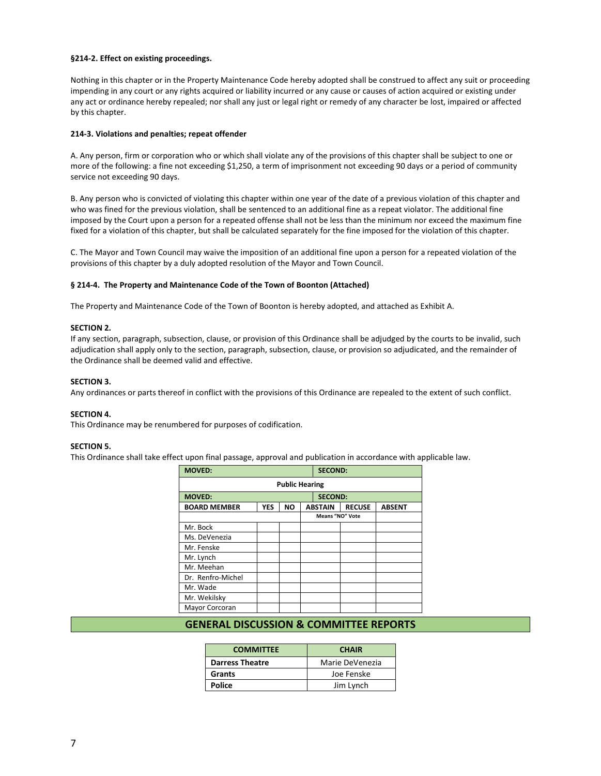#### **§214-2. Effect on existing proceedings.**

Nothing in this chapter or in the Property Maintenance Code hereby adopted shall be construed to affect any suit or proceeding impending in any court or any rights acquired or liability incurred or any cause or causes of action acquired or existing under any act or ordinance hereby repealed; nor shall any just or legal right or remedy of any character be lost, impaired or affected by this chapter.

#### **214-3. Violations and penalties; repeat offender**

A. Any person, firm or corporation who or which shall violate any of the provisions of this chapter shall be subject to one or more of the following: a fine not exceeding \$1,250, a term of imprisonment not exceeding 90 days or a period of community service not exceeding 90 days.

B. Any person who is convicted of violating this chapter within one year of the date of a previous violation of this chapter and who was fined for the previous violation, shall be sentenced to an additional fine as a repeat violator. The additional fine imposed by the Court upon a person for a repeated offense shall not be less than the minimum nor exceed the maximum fine fixed for a violation of this chapter, but shall be calculated separately for the fine imposed for the violation of this chapter.

C. The Mayor and Town Council may waive the imposition of an additional fine upon a person for a repeated violation of the provisions of this chapter by a duly adopted resolution of the Mayor and Town Council.

#### **§ 214-4. The Property and Maintenance Code of the Town of Boonton (Attached)**

The Property and Maintenance Code of the Town of Boonton is hereby adopted, and attached as Exhibit A.

#### **SECTION 2.**

If any section, paragraph, subsection, clause, or provision of this Ordinance shall be adjudged by the courts to be invalid, such adjudication shall apply only to the section, paragraph, subsection, clause, or provision so adjudicated, and the remainder of the Ordinance shall be deemed valid and effective.

#### **SECTION 3.**

Any ordinances or parts thereof in conflict with the provisions of this Ordinance are repealed to the extent of such conflict.

#### **SECTION 4.**

This Ordinance may be renumbered for purposes of codification.

#### **SECTION 5.**

This Ordinance shall take effect upon final passage, approval and publication in accordance with applicable law.

| <b>MOVED:</b>                   |            |           |                | <b>SECOND:</b> |                        |               |
|---------------------------------|------------|-----------|----------------|----------------|------------------------|---------------|
| <b>Public Hearing</b>           |            |           |                |                |                        |               |
| <b>SECOND:</b><br><b>MOVED:</b> |            |           |                |                |                        |               |
| <b>BOARD MEMBER</b>             | <b>YES</b> | <b>NO</b> | <b>ABSTAIN</b> |                | <b>RECUSE</b>          | <b>ABSENT</b> |
|                                 |            |           |                |                | <b>Means "NO" Vote</b> |               |
| Mr. Bock                        |            |           |                |                |                        |               |
| Ms. DeVenezia                   |            |           |                |                |                        |               |
| Mr. Fenske                      |            |           |                |                |                        |               |
| Mr. Lynch                       |            |           |                |                |                        |               |
| Mr. Meehan                      |            |           |                |                |                        |               |
| Dr. Renfro-Michel               |            |           |                |                |                        |               |
| Mr. Wade                        |            |           |                |                |                        |               |
| Mr. Wekilsky                    |            |           |                |                |                        |               |
| Mayor Corcoran                  |            |           |                |                |                        |               |

# **GENERAL DISCUSSION & COMMITTEE REPORTS**

| <b>COMMITTEE</b>       | <b>CHAIR</b>    |
|------------------------|-----------------|
| <b>Darress Theatre</b> | Marie DeVenezia |
| Grants                 | Joe Fenske      |
| Police                 | Jim Lynch       |